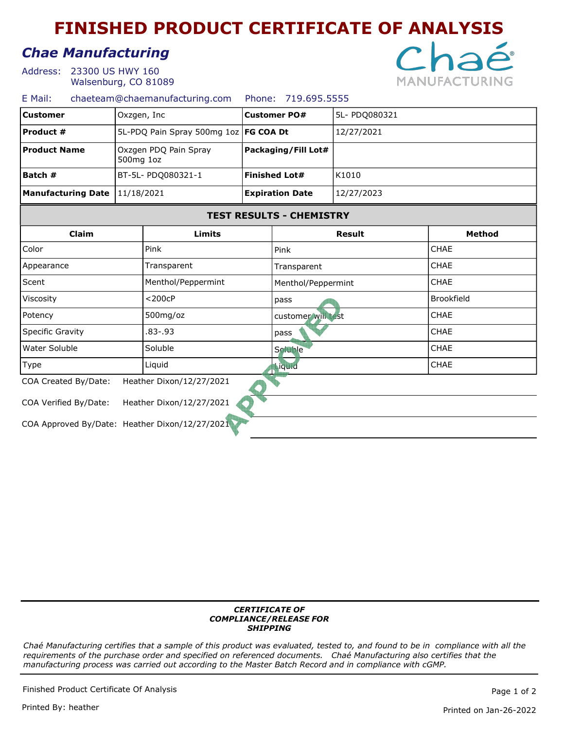# FINISHED PRODUCT CERTIFICATE OF ANALYSIS

## Chae Manufacturing

23300 US HWY 160 Address: Walsenburg, CO 81089



| chaeteam@chaemanufacturing.com Phone: 719.695.5555<br>E Mail: |  |  |
|---------------------------------------------------------------|--|--|
|---------------------------------------------------------------|--|--|

| <b>Customer</b>           | Oxzgen, Inc                             | 5L- PDQ080321<br><b>Customer PO#</b> |               |                |  |
|---------------------------|-----------------------------------------|--------------------------------------|---------------|----------------|--|
| <b>Product #</b>          | 5L-PDQ Pain Spray 500mg 1oz   FG COA Dt |                                      | 12/27/2021    |                |  |
| <b>Product Name</b>       | Oxzgen PDQ Pain Spray<br>500mg 1oz      | Packaging/Fill Lot#                  |               |                |  |
| Batch #                   | BT-5L- PDQ080321-1                      | <b>Finished Lot#</b>                 | K1010         |                |  |
| <b>Manufacturing Date</b> | 11/18/2021                              | <b>Expiration Date</b>               | 12/27/2023    |                |  |
|                           |                                         | <b>TEST RESULTS - CHEMISTRY</b>      |               |                |  |
| Claim                     | Limits                                  |                                      | <b>Result</b> | <b>Method</b>  |  |
| Color                     | Pink                                    | Pink                                 |               | <b>CHAE</b>    |  |
| Appearance                | Transparent                             | Transparent                          |               | <b>CHAE</b>    |  |
| $C$ cant                  | Monthol/Donnormint                      | $M$ onthol/Donnownint                |               | $C H \wedge F$ |  |

| JLC IIL                                        | THERMORT CODERNING       | <u>Prenthol/Peppennint</u> | ᄓᆔ                |
|------------------------------------------------|--------------------------|----------------------------|-------------------|
| Viscosity                                      | $<$ 200 $c$ P            | pass                       | <b>Brookfield</b> |
| Potency                                        | $500$ mg/oz              | customer will est          | <b>CHAE</b>       |
| <b>Specific Gravity</b>                        | .83-.93                  | pass                       | <b>CHAE</b>       |
| Water Soluble                                  | Soluble                  | Soluble                    | <b>CHAE</b>       |
| Type                                           | Liquid                   | <b>L</b> iquid             | <b>CHAE</b>       |
| COA Created By/Date:                           | Heather Dixon/12/27/2021 |                            |                   |
| COA Verified By/Date:                          | Heather Dixon/12/27/2021 |                            |                   |
| COA Approved By/Date: Heather Dixon/12/27/2021 |                          |                            |                   |

#### CERTIFICATE OF COMPLIANCE/RELEASE FOR **SHIPPING**

Chaé Manufacturing certifies that a sample of this product was evaluated, tested to, and found to be in compliance with all the requirements of the purchase order and specified on referenced documents. Chaé Manufacturing also certifies that the manufacturing process was carried out according to the Master Batch Record and in compliance with cGMP.

Finished Product Certificate Of Analysis **Page 1** of 2